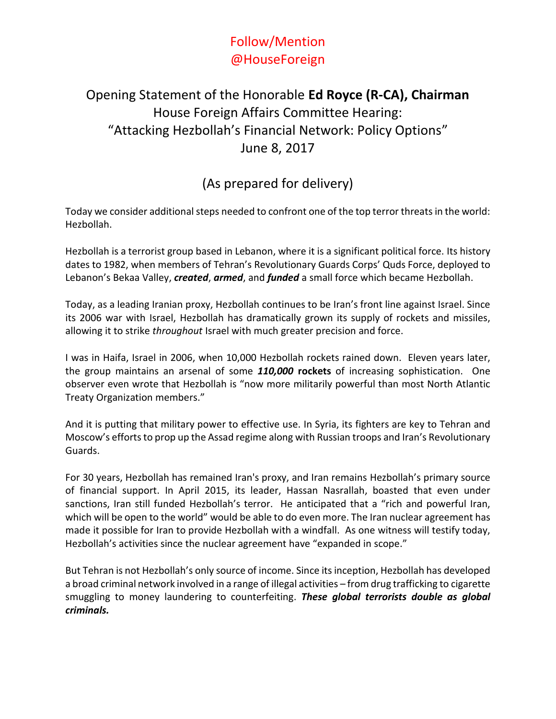## Follow/Mention @HouseForeign

## Opening Statement of the Honorable **Ed Royce (R-CA), Chairman** House Foreign Affairs Committee Hearing: "Attacking Hezbollah's Financial Network: Policy Options" June 8, 2017

## (As prepared for delivery)

Today we consider additional steps needed to confront one of the top terror threats in the world: Hezbollah.

Hezbollah is a terrorist group based in Lebanon, where it is a significant political force. Its history dates to 1982, when members of Tehran's Revolutionary Guards Corps' Quds Force, deployed to Lebanon's Bekaa Valley, *created*, *armed*, and *funded* a small force which became Hezbollah.

Today, as a leading Iranian proxy, Hezbollah continues to be Iran's front line against Israel. Since its 2006 war with Israel, Hezbollah has dramatically grown its supply of rockets and missiles, allowing it to strike *throughout* Israel with much greater precision and force.

I was in Haifa, Israel in 2006, when 10,000 Hezbollah rockets rained down. Eleven years later, the group maintains an arsenal of some *110,000* **rockets** of increasing sophistication. One observer even wrote that Hezbollah is "now more militarily powerful than most North Atlantic Treaty Organization members."

And it is putting that military power to effective use. In Syria, its fighters are key to Tehran and Moscow's efforts to prop up the Assad regime along with Russian troops and Iran's Revolutionary Guards.

For 30 years, Hezbollah has remained Iran's proxy, and Iran remains Hezbollah's primary source of financial support. In April 2015, its leader, Hassan Nasrallah, boasted that even under sanctions, Iran still funded Hezbollah's terror. He anticipated that a "rich and powerful Iran, which will be open to the world" would be able to do even more. The Iran nuclear agreement has made it possible for Iran to provide Hezbollah with a windfall. As one witness will testify today, Hezbollah's activities since the nuclear agreement have "expanded in scope."

But Tehran is not Hezbollah's only source of income. Since its inception, Hezbollah has developed a broad criminal network involved in a range of illegal activities – from drug trafficking to cigarette smuggling to money laundering to counterfeiting. *These global terrorists double as global criminals.*